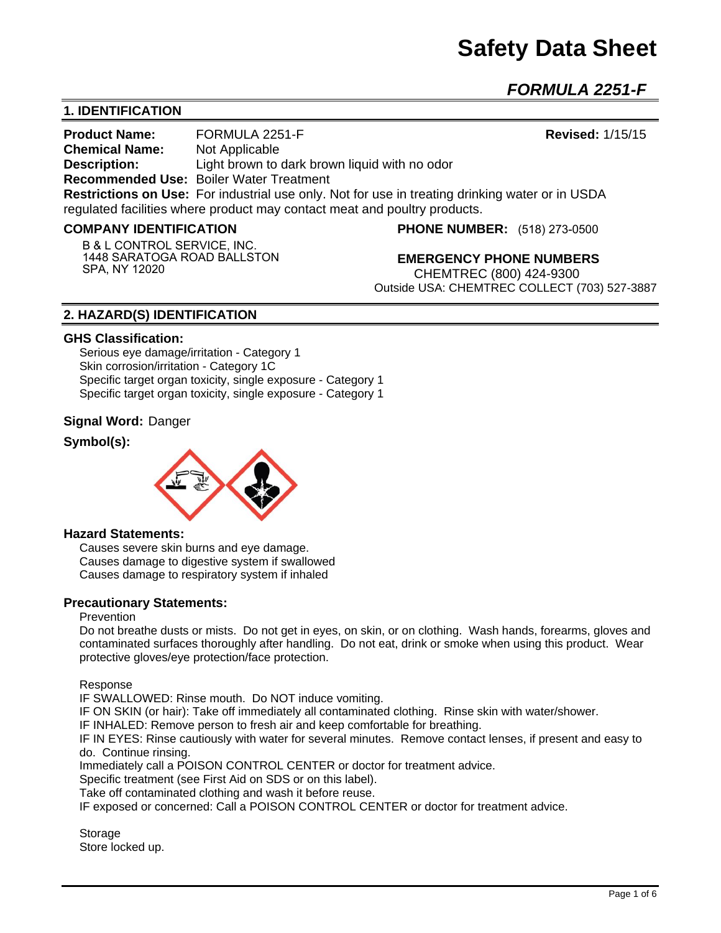# **Safety Data Sheet**

*FORMULA 2251-F* 

# **1. IDENTIFICATION**

**Product Name:** FORMULA 2251-F **Revised:** 1/15/15 **Chemical Name:** Not Applicable **Description:** Light brown to dark brown liquid with no odor **Recommended Use:** Boiler Water Treatment **Restrictions on Use:** For industrial use only. Not for use in treating drinking water or in USDA regulated facilities where product may contact meat and poultry products.

#### **COMPANY IDENTIFICATION**

**B** & **L CONTROL SERVICE, INC. 1448 SARATOGA ROAD BALLSTON SPA, NY 12020**

**PHONE NUMBER:** (518) 273-0500

**EMERGENCY PHONE NUMBERS** CHEMTREC (800) 424-9300 Outside USA: CHEMTREC COLLECT (703) 527-3887

# **2. HAZARD(S) IDENTIFICATION**

#### **GHS Classification:**

Serious eye damage/irritation - Category 1 Skin corrosion/irritation - Category 1C Specific target organ toxicity, single exposure - Category 1 Specific target organ toxicity, single exposure - Category 1

#### **Signal Word:** Danger

# **Symbol(s):**



#### **Hazard Statements:**

Causes severe skin burns and eye damage. Causes damage to digestive system if swallowed Causes damage to respiratory system if inhaled

#### **Precautionary Statements:**

#### Prevention

Do not breathe dusts or mists. Do not get in eyes, on skin, or on clothing. Wash hands, forearms, gloves and contaminated surfaces thoroughly after handling. Do not eat, drink or smoke when using this product. Wear protective gloves/eye protection/face protection.

Response

IF SWALLOWED: Rinse mouth. Do NOT induce vomiting.

IF ON SKIN (or hair): Take off immediately all contaminated clothing. Rinse skin with water/shower.

IF INHALED: Remove person to fresh air and keep comfortable for breathing.

IF IN EYES: Rinse cautiously with water for several minutes. Remove contact lenses, if present and easy to do. Continue rinsing.

Immediately call a POISON CONTROL CENTER or doctor for treatment advice.

Specific treatment (see First Aid on SDS or on this label).

Take off contaminated clothing and wash it before reuse.

IF exposed or concerned: Call a POISON CONTROL CENTER or doctor for treatment advice.

**Storage** Store locked up.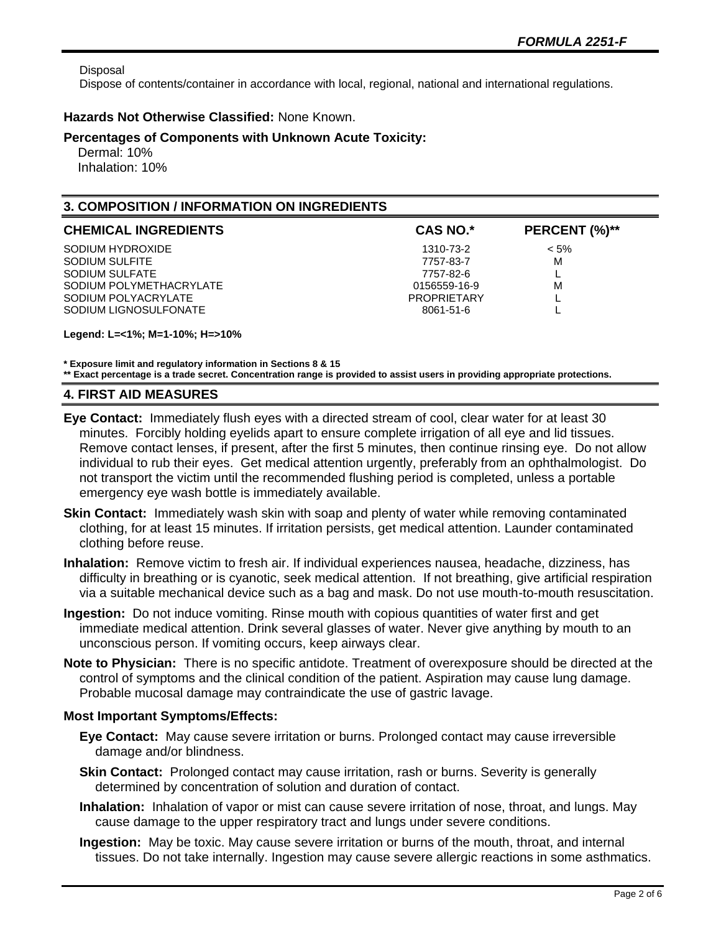Disposal

Dispose of contents/container in accordance with local, regional, national and international regulations.

## **Hazards Not Otherwise Classified:** None Known.

#### **Percentages of Components with Unknown Acute Toxicity:**

 Dermal: 10% Inhalation: 10%

# **3. COMPOSITION / INFORMATION ON INGREDIENTS**

| <b>CHEMICAL INGREDIENTS</b> | <b>CAS NO.*</b>    | PERCENT (%)** |
|-----------------------------|--------------------|---------------|
| SODIUM HYDROXIDE            | 1310-73-2          | $< 5\%$       |
| SODIUM SULFITE              | 7757-83-7          | M             |
| SODIUM SULFATE              | 7757-82-6          |               |
| SODIUM POLYMETHACRYLATE     | 0156559-16-9       | м             |
| SODIUM POLYACRYLATE         | <b>PROPRIFTARY</b> |               |
| SODIUM LIGNOSULFONATE       | 8061-51-6          |               |

**Legend: L=<1%; M=1-10%; H=>10%**

**\* Exposure limit and regulatory information in Sections 8 & 15**

**\*\* Exact percentage is a trade secret. Concentration range is provided to assist users in providing appropriate protections.**

## **4. FIRST AID MEASURES**

- **Eye Contact:** Immediately flush eyes with a directed stream of cool, clear water for at least 30 minutes. Forcibly holding eyelids apart to ensure complete irrigation of all eye and lid tissues. Remove contact lenses, if present, after the first 5 minutes, then continue rinsing eye. Do not allow individual to rub their eyes. Get medical attention urgently, preferably from an ophthalmologist. Do not transport the victim until the recommended flushing period is completed, unless a portable emergency eye wash bottle is immediately available.
- **Skin Contact:** Immediately wash skin with soap and plenty of water while removing contaminated clothing, for at least 15 minutes. If irritation persists, get medical attention. Launder contaminated clothing before reuse.
- **Inhalation:** Remove victim to fresh air. If individual experiences nausea, headache, dizziness, has difficulty in breathing or is cyanotic, seek medical attention. If not breathing, give artificial respiration via a suitable mechanical device such as a bag and mask. Do not use mouth-to-mouth resuscitation.
- **Ingestion:** Do not induce vomiting. Rinse mouth with copious quantities of water first and get immediate medical attention. Drink several glasses of water. Never give anything by mouth to an unconscious person. If vomiting occurs, keep airways clear.
- **Note to Physician:** There is no specific antidote. Treatment of overexposure should be directed at the control of symptoms and the clinical condition of the patient. Aspiration may cause lung damage. Probable mucosal damage may contraindicate the use of gastric lavage.

## **Most Important Symptoms/Effects:**

- **Eye Contact:** May cause severe irritation or burns. Prolonged contact may cause irreversible damage and/or blindness.
- **Skin Contact:** Prolonged contact may cause irritation, rash or burns. Severity is generally determined by concentration of solution and duration of contact.
- **Inhalation:** Inhalation of vapor or mist can cause severe irritation of nose, throat, and lungs. May cause damage to the upper respiratory tract and lungs under severe conditions.
- **Ingestion:** May be toxic. May cause severe irritation or burns of the mouth, throat, and internal tissues. Do not take internally. Ingestion may cause severe allergic reactions in some asthmatics.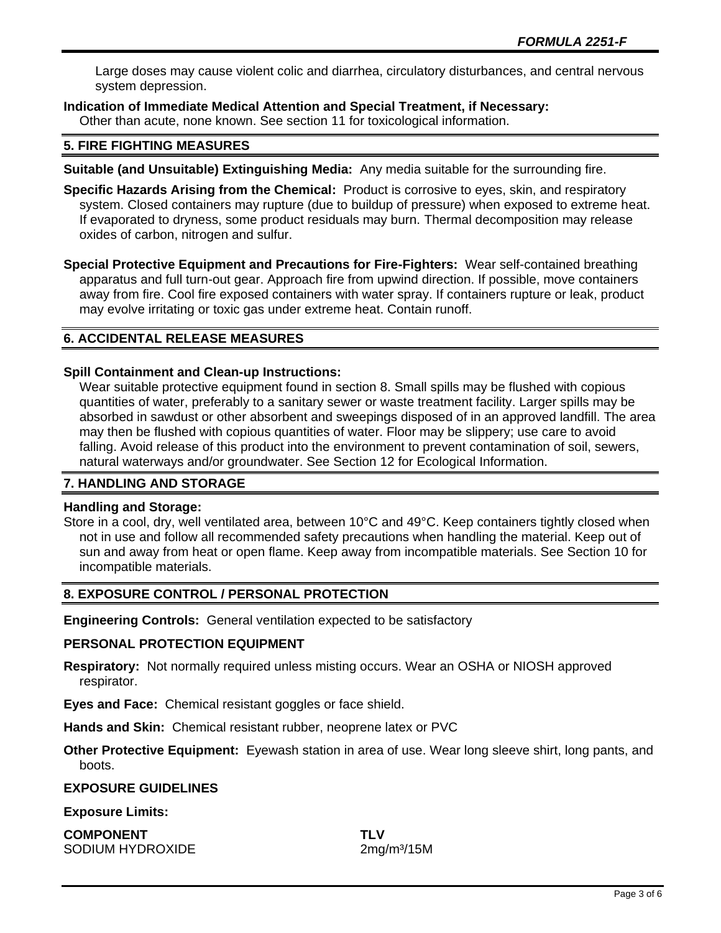Large doses may cause violent colic and diarrhea, circulatory disturbances, and central nervous system depression.

**Indication of Immediate Medical Attention and Special Treatment, if Necessary:**

Other than acute, none known. See section 11 for toxicological information.

# **5. FIRE FIGHTING MEASURES**

**Suitable (and Unsuitable) Extinguishing Media:** Any media suitable for the surrounding fire.

**Specific Hazards Arising from the Chemical:** Product is corrosive to eyes, skin, and respiratory system. Closed containers may rupture (due to buildup of pressure) when exposed to extreme heat. If evaporated to dryness, some product residuals may burn. Thermal decomposition may release oxides of carbon, nitrogen and sulfur.

**Special Protective Equipment and Precautions for Fire-Fighters:** Wear self-contained breathing apparatus and full turn-out gear. Approach fire from upwind direction. If possible, move containers away from fire. Cool fire exposed containers with water spray. If containers rupture or leak, product may evolve irritating or toxic gas under extreme heat. Contain runoff.

# **6. ACCIDENTAL RELEASE MEASURES**

# **Spill Containment and Clean-up Instructions:**

Wear suitable protective equipment found in section 8. Small spills may be flushed with copious quantities of water, preferably to a sanitary sewer or waste treatment facility. Larger spills may be absorbed in sawdust or other absorbent and sweepings disposed of in an approved landfill. The area may then be flushed with copious quantities of water. Floor may be slippery; use care to avoid falling. Avoid release of this product into the environment to prevent contamination of soil, sewers, natural waterways and/or groundwater. See Section 12 for Ecological Information.

# **7. HANDLING AND STORAGE**

## **Handling and Storage:**

Store in a cool, dry, well ventilated area, between 10°C and 49°C. Keep containers tightly closed when not in use and follow all recommended safety precautions when handling the material. Keep out of sun and away from heat or open flame. Keep away from incompatible materials. See Section 10 for incompatible materials.

# **8. EXPOSURE CONTROL / PERSONAL PROTECTION**

**Engineering Controls:** General ventilation expected to be satisfactory

## **PERSONAL PROTECTION EQUIPMENT**

**Respiratory:** Not normally required unless misting occurs. Wear an OSHA or NIOSH approved respirator.

**Eyes and Face:** Chemical resistant goggles or face shield.

**Hands and Skin:** Chemical resistant rubber, neoprene latex or PVC

**Other Protective Equipment:** Eyewash station in area of use. Wear long sleeve shirt, long pants, and boots.

## **EXPOSURE GUIDELINES**

## **Exposure Limits:**

**COMPONENT TLV** SODIUM HYDROXIDE 2mg/m<sup>3</sup>/15M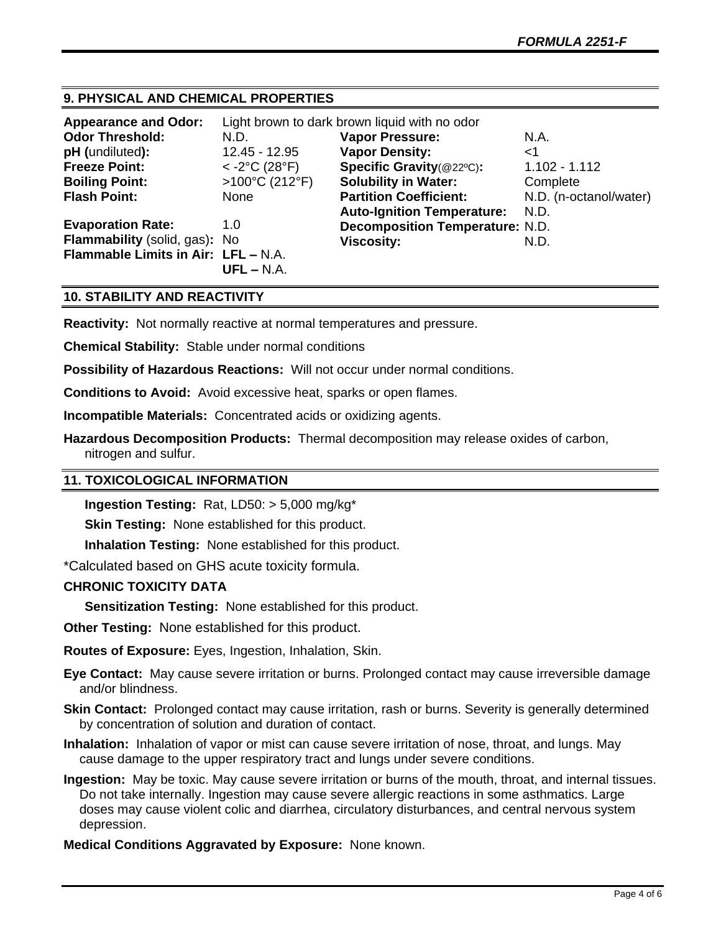# **9. PHYSICAL AND CHEMICAL PROPERTIES**

| <b>Appearance and Odor:</b>         | Light brown to dark brown liquid with no odor |                                        |                        |
|-------------------------------------|-----------------------------------------------|----------------------------------------|------------------------|
| <b>Odor Threshold:</b>              | N.D.                                          | <b>Vapor Pressure:</b>                 | N.A.                   |
| pH (undiluted):                     | 12.45 - 12.95                                 | <b>Vapor Density:</b>                  | <1                     |
| <b>Freeze Point:</b>                | $<$ -2°C (28°F)                               | Specific Gravity(@22°C):               | $1.102 - 1.112$        |
| <b>Boiling Point:</b>               | >100°C (212°F)                                | <b>Solubility in Water:</b>            | Complete               |
| <b>Flash Point:</b>                 | None                                          | <b>Partition Coefficient:</b>          | N.D. (n-octanol/water) |
|                                     |                                               | <b>Auto-Ignition Temperature:</b>      | N.D.                   |
| <b>Evaporation Rate:</b>            | 1.0                                           | <b>Decomposition Temperature: N.D.</b> |                        |
| Flammability (solid, gas): No       |                                               | <b>Viscosity:</b>                      | N.D.                   |
| Flammable Limits in Air: LFL - N.A. | $UFL - N.A.$                                  |                                        |                        |

## **10. STABILITY AND REACTIVITY**

**Reactivity:** Not normally reactive at normal temperatures and pressure.

**Chemical Stability:** Stable under normal conditions

**Possibility of Hazardous Reactions:** Will not occur under normal conditions.

**Conditions to Avoid:** Avoid excessive heat, sparks or open flames.

**Incompatible Materials:** Concentrated acids or oxidizing agents.

**Hazardous Decomposition Products:** Thermal decomposition may release oxides of carbon, nitrogen and sulfur.

#### **11. TOXICOLOGICAL INFORMATION**

**Ingestion Testing:** Rat, LD50: > 5,000 mg/kg\*

**Skin Testing:** None established for this product.

**Inhalation Testing:** None established for this product.

\*Calculated based on GHS acute toxicity formula.

# **CHRONIC TOXICITY DATA**

**Sensitization Testing:** None established for this product.

**Other Testing:** None established for this product.

**Routes of Exposure:** Eyes, Ingestion, Inhalation, Skin.

**Eye Contact:** May cause severe irritation or burns. Prolonged contact may cause irreversible damage and/or blindness.

**Skin Contact:** Prolonged contact may cause irritation, rash or burns. Severity is generally determined by concentration of solution and duration of contact.

- **Inhalation:** Inhalation of vapor or mist can cause severe irritation of nose, throat, and lungs. May cause damage to the upper respiratory tract and lungs under severe conditions.
- **Ingestion:** May be toxic. May cause severe irritation or burns of the mouth, throat, and internal tissues. Do not take internally. Ingestion may cause severe allergic reactions in some asthmatics. Large doses may cause violent colic and diarrhea, circulatory disturbances, and central nervous system depression.

#### **Medical Conditions Aggravated by Exposure:** None known.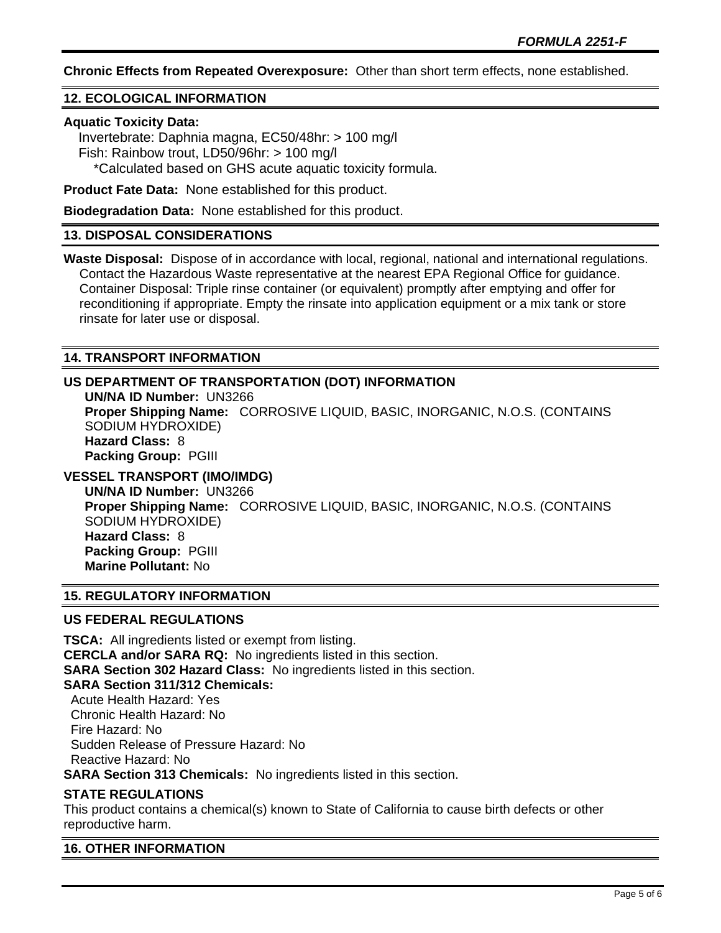**Chronic Effects from Repeated Overexposure:** Other than short term effects, none established.

# **12. ECOLOGICAL INFORMATION**

#### **Aquatic Toxicity Data:**

 Invertebrate: Daphnia magna, EC50/48hr: > 100 mg/l Fish: Rainbow trout, LD50/96hr: > 100 mg/l \*Calculated based on GHS acute aquatic toxicity formula.

**Product Fate Data:** None established for this product.

**Biodegradation Data:** None established for this product.

## **13. DISPOSAL CONSIDERATIONS**

**Waste Disposal:** Dispose of in accordance with local, regional, national and international regulations. Contact the Hazardous Waste representative at the nearest EPA Regional Office for guidance. Container Disposal: Triple rinse container (or equivalent) promptly after emptying and offer for reconditioning if appropriate. Empty the rinsate into application equipment or a mix tank or store rinsate for later use or disposal.

## **14. TRANSPORT INFORMATION**

## **US DEPARTMENT OF TRANSPORTATION (DOT) INFORMATION**

**UN/NA ID Number:** UN3266 **Proper Shipping Name:** CORROSIVE LIQUID, BASIC, INORGANIC, N.O.S. (CONTAINS SODIUM HYDROXIDE) **Hazard Class:** 8 **Packing Group:** PGIII **VESSEL TRANSPORT (IMO/IMDG)**

**UN/NA ID Number:** UN3266 **Proper Shipping Name:** CORROSIVE LIQUID, BASIC, INORGANIC, N.O.S. (CONTAINS SODIUM HYDROXIDE) **Hazard Class:** 8 **Packing Group:** PGIII **Marine Pollutant:** No

## **15. REGULATORY INFORMATION**

## **US FEDERAL REGULATIONS**

**TSCA:** All ingredients listed or exempt from listing. **CERCLA and/or SARA RQ:** No ingredients listed in this section. **SARA Section 302 Hazard Class:** No ingredients listed in this section. **SARA Section 311/312 Chemicals:**  Acute Health Hazard: Yes Chronic Health Hazard: No Fire Hazard: No

Sudden Release of Pressure Hazard: No

Reactive Hazard: No

**SARA Section 313 Chemicals:** No ingredients listed in this section.

## **STATE REGULATIONS**

This product contains a chemical(s) known to State of California to cause birth defects or other reproductive harm.

## **16. OTHER INFORMATION**